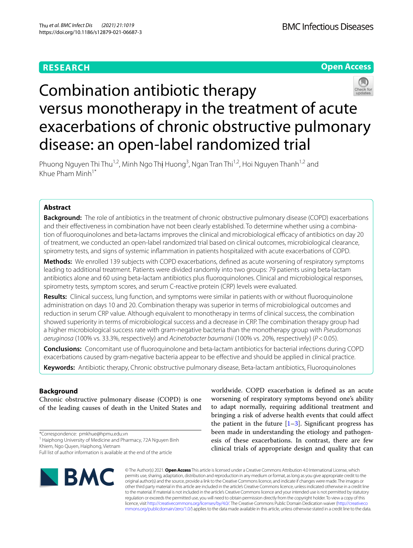# **RESEARCH**

**Open Access**

# Combination antibiotic therapy versus monotherapy in the treatment of acute exacerbations of chronic obstructive pulmonary disease: an open-label randomized trial

Phuong Nguyen Thi Thu<sup>1,2</sup>, Minh Ngo Th**ị** Huong<sup>3</sup>, Ngan Tran Thi<sup>1,2</sup>, Hoi Nguyen Thanh<sup>1,2</sup> and Khue Pham Minh<sup>1\*</sup>

# **Abstract**

**Background:** The role of antibiotics in the treatment of chronic obstructive pulmonary disease (COPD) exacerbations and their efectiveness in combination have not been clearly established. To determine whether using a combination of fluoroquinolones and beta-lactams improves the clinical and microbiological efficacy of antibiotics on day 20 of treatment, we conducted an open-label randomized trial based on clinical outcomes, microbiological clearance, spirometry tests, and signs of systemic infammation in patients hospitalized with acute exacerbations of COPD.

**Methods:** We enrolled 139 subjects with COPD exacerbations, defned as acute worsening of respiratory symptoms leading to additional treatment. Patients were divided randomly into two groups: 79 patients using beta-lactam antibiotics alone and 60 using beta-lactam antibiotics plus fuoroquinolones. Clinical and microbiological responses, spirometry tests, symptom scores, and serum C-reactive protein (CRP) levels were evaluated.

**Results:** Clinical success, lung function, and symptoms were similar in patients with or without fuoroquinolone administration on days 10 and 20. Combination therapy was superior in terms of microbiological outcomes and reduction in serum CRP value. Although equivalent to monotherapy in terms of clinical success, the combination showed superiority in terms of microbiological success and a decrease in CRP. The combination therapy group had a higher microbiological success rate with gram-negative bacteria than the monotherapy group with *Pseudomonas aeruginosa* (100% vs. 33.3%, respectively) and *Acinetobacter baumanii* (100% vs. 20%, respectively) (*P*<0.05).

**Conclusions:** Concomitant use of fuoroquinolone and beta-lactam antibiotics for bacterial infections during COPD exacerbations caused by gram-negative bacteria appear to be efective and should be applied in clinical practice. **Keywords:** Antibiotic therapy, Chronic obstructive pulmonary disease, Beta-lactam antibiotics, Fluoroquinolones

**Background**

Chronic obstructive pulmonary disease (COPD) is one of the leading causes of death in the United States and

\*Correspondence: pmkhue@hpmu.edu.vn

<sup>1</sup> Haiphong University of Medicine and Pharmacy, 72A Nguyen Binh Khiem, Ngo Quyen, Haiphong, Vietnam

Full list of author information is available at the end of the article



worldwide. COPD exacerbation is defned as an acute worsening of respiratory symptoms beyond one's ability to adapt normally, requiring additional treatment and bringing a risk of adverse health events that could afect the patient in the future  $[1-3]$  $[1-3]$ . Significant progress has been made in understanding the etiology and pathogenesis of these exacerbations. In contrast, there are few clinical trials of appropriate design and quality that can

© The Author(s) 2021. **Open Access** This article is licensed under a Creative Commons Attribution 4.0 International License, which permits use, sharing, adaptation, distribution and reproduction in any medium or format, as long as you give appropriate credit to the original author(s) and the source, provide a link to the Creative Commons licence, and indicate if changes were made. The images or other third party material in this article are included in the article's Creative Commons licence, unless indicated otherwise in a credit line to the material. If material is not included in the article's Creative Commons licence and your intended use is not permitted by statutory regulation or exceeds the permitted use, you will need to obtain permission directly from the copyright holder. To view a copy of this licence, visit [http://creativecommons.org/licenses/by/4.0/.](http://creativecommons.org/licenses/by/4.0/) The Creative Commons Public Domain Dedication waiver ([http://creativeco](http://creativecommons.org/publicdomain/zero/1.0/) [mmons.org/publicdomain/zero/1.0/](http://creativecommons.org/publicdomain/zero/1.0/)) applies to the data made available in this article, unless otherwise stated in a credit line to the data.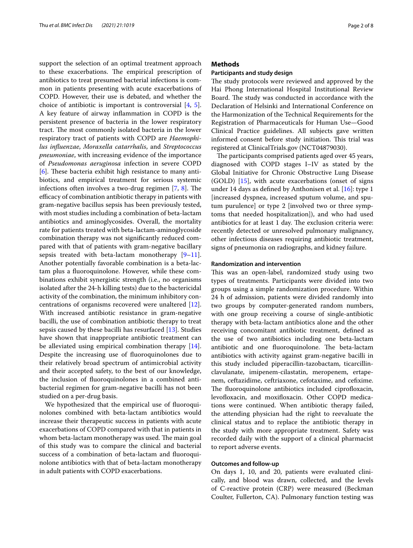support the selection of an optimal treatment approach to these exacerbations. The empirical prescription of antibiotics to treat presumed bacterial infections is common in patients presenting with acute exacerbations of COPD. However, their use is debated, and whether the choice of antibiotic is important is controversial [\[4,](#page-6-2) [5](#page-6-3)]. A key feature of airway infammation in COPD is the persistent presence of bacteria in the lower respiratory tract. The most commonly isolated bacteria in the lower respiratory tract of patients with COPD are *Haemophilus infuenzae*, *Moraxella catarrhalis*, and *Streptococcus pneumoniae*, with increasing evidence of the importance of *Pseudomonas aeruginosa* infection in severe COPD  $[6]$  $[6]$ . These bacteria exhibit high resistance to many antibiotics, and empirical treatment for serious systemic infections often involves a two-drug regimen  $[7, 8]$  $[7, 8]$  $[7, 8]$  $[7, 8]$  $[7, 8]$ . The efficacy of combination antibiotic therapy in patients with gram-negative bacillus sepsis has been previously tested, with most studies including a combination of beta-lactam antibiotics and aminoglycosides. Overall, the mortality rate for patients treated with beta-lactam-aminoglycoside combination therapy was not signifcantly reduced compared with that of patients with gram-negative bacillary sepsis treated with beta-lactam monotherapy  $[9-11]$  $[9-11]$ . Another potentially favorable combination is a beta-lactam plus a fuoroquinolone. However, while these combinations exhibit synergistic strength (i.e., no organisms isolated after the 24-h killing tests) due to the bactericidal activity of the combination, the minimum inhibitory concentrations of organisms recovered were unaltered [\[12](#page-6-9)]. With increased antibiotic resistance in gram-negative bacilli, the use of combination antibiotic therapy to treat sepsis caused by these bacilli has resurfaced [[13\]](#page-6-10). Studies have shown that inappropriate antibiotic treatment can be alleviated using empirical combination therapy [\[14](#page-6-11)]. Despite the increasing use of fuoroquinolones due to their relatively broad spectrum of antimicrobial activity and their accepted safety, to the best of our knowledge, the inclusion of fuoroquinolones in a combined antibacterial regimen for gram-negative bacilli has not been studied on a per-drug basis.

We hypothesized that the empirical use of fuoroquinolones combined with beta-lactam antibiotics would increase their therapeutic success in patients with acute exacerbations of COPD compared with that in patients in whom beta-lactam monotherapy was used. The main goal of this study was to compare the clinical and bacterial success of a combination of beta-lactam and fuoroquinolone antibiotics with that of beta-lactam monotherapy in adult patients with COPD exacerbations.

# **Methods**

#### **Participants and study design**

The study protocols were reviewed and approved by the Hai Phong International Hospital Institutional Review Board. The study was conducted in accordance with the Declaration of Helsinki and International Conference on the Harmonization of the Technical Requirements for the Registration of Pharmaceuticals for Human Use—Good Clinical Practice guidelines. All subjects gave written informed consent before study initiation. This trial was registered at ClinicalTrials.gov (NCT04879030).

The participants comprised patients aged over 45 years, diagnosed with COPD stages I–IV as stated by the Global Initiative for Chronic Obstructive Lung Disease (GOLD) [[15\]](#page-6-12), with acute exacerbations (onset of signs under 14 days as defned by Anthonisen et al. [[16\]](#page-6-13): type 1 [increased dyspnea, increased sputum volume, and sputum purulence] or type 2 [involved two or three symptoms that needed hospitalization]), and who had used antibiotics for at least 1 day. The exclusion criteria were: recently detected or unresolved pulmonary malignancy, other infectious diseases requiring antibiotic treatment, signs of pneumonia on radiographs, and kidney failure.

### **Randomization and intervention**

This was an open-label, randomized study using two types of treatments. Participants were divided into two groups using a simple randomization procedure. Within 24 h of admission, patients were divided randomly into two groups by computer-generated random numbers, with one group receiving a course of single-antibiotic therapy with beta-lactam antibiotics alone and the other receiving concomitant antibiotic treatment, defned as the use of two antibiotics including one beta-lactam antibiotic and one fluoroquinolone. The beta-lactam antibiotics with activity against gram-negative bacilli in this study included piperacillin-tazobactam, ticarcillinclavulanate, imipenem-cilastatin, meropenem, ertapenem, ceftazidime, ceftriaxone, cefotaxime, and cefxime. The fluoroquinolone antibiotics included ciprofloxacin, levofloxacin, and moxifloxacin. Other COPD medications were continued. When antibiotic therapy failed, the attending physician had the right to reevaluate the clinical status and to replace the antibiotic therapy in the study with more appropriate treatment. Safety was recorded daily with the support of a clinical pharmacist to report adverse events.

# **Outcomes and follow‑up**

On days 1, 10, and 20, patients were evaluated clinically, and blood was drawn, collected, and the levels of C-reactive protein (CRP) were measured (Beckman Coulter, Fullerton, CA). Pulmonary function testing was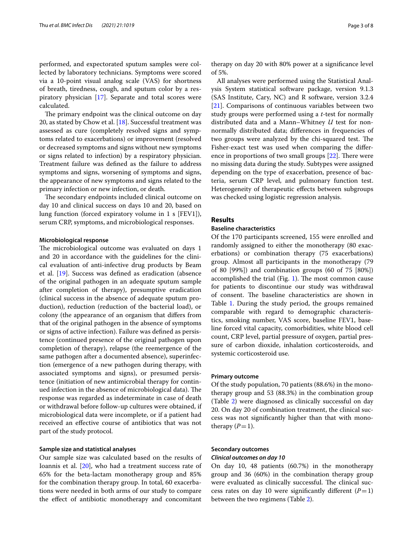performed, and expectorated sputum samples were collected by laboratory technicians. Symptoms were scored via a 10-point visual analog scale (VAS) for shortness of breath, tiredness, cough, and sputum color by a respiratory physician [[17\]](#page-6-14). Separate and total scores were calculated.

The primary endpoint was the clinical outcome on day 20, as stated by Chow et al.  $[18]$  $[18]$ . Successful treatment was assessed as cure (completely resolved signs and symptoms related to exacerbations) or improvement (resolved or decreased symptoms and signs without new symptoms or signs related to infection) by a respiratory physician. Treatment failure was defned as the failure to address symptoms and signs, worsening of symptoms and signs, the appearance of new symptoms and signs related to the primary infection or new infection, or death.

The secondary endpoints included clinical outcome on day 10 and clinical success on days 10 and 20, based on lung function (forced expiratory volume in 1 s [FEV1]), serum CRP, symptoms, and microbiological responses.

#### **Microbiological response**

The microbiological outcome was evaluated on days 1 and 20 in accordance with the guidelines for the clinical evaluation of anti-infective drug products by Beam et al. [[19\]](#page-6-16). Success was defned as eradication (absence of the original pathogen in an adequate sputum sample after completion of therapy), presumptive eradication (clinical success in the absence of adequate sputum production), reduction (reduction of the bacterial load), or colony (the appearance of an organism that difers from that of the original pathogen in the absence of symptoms or signs of active infection). Failure was defned as persistence (continued presence of the original pathogen upon completion of therapy), relapse (the reemergence of the same pathogen after a documented absence), superinfection (emergence of a new pathogen during therapy, with associated symptoms and signs), or presumed persistence (initiation of new antimicrobial therapy for continued infection in the absence of microbiological data). The response was regarded as indeterminate in case of death or withdrawal before follow-up cultures were obtained, if microbiological data were incomplete, or if a patient had received an efective course of antibiotics that was not part of the study protocol.

#### **Sample size and statistical analyses**

Our sample size was calculated based on the results of Ioannis et al. [\[20](#page-6-17)], who had a treatment success rate of 65% for the beta-lactam monotherapy group and 85% for the combination therapy group. In total, 60 exacerbations were needed in both arms of our study to compare the efect of antibiotic monotherapy and concomitant

therapy on day 20 with 80% power at a signifcance level of 5%.

All analyses were performed using the Statistical Analysis System statistical software package, version 9.1.3 (SAS Institute, Cary, NC) and R software, version 3.2.4 [[21\]](#page-7-0). Comparisons of continuous variables between two study groups were performed using a *t-*test for normally distributed data and a Mann–Whitney *U* test for nonnormally distributed data; diferences in frequencies of two groups were analyzed by the chi-squared test. The Fisher-exact test was used when comparing the diference in proportions of two small groups  $[22]$  $[22]$ . There were no missing data during the study. Subtypes were assigned depending on the type of exacerbation, presence of bacteria, serum CRP level, and pulmonary function test. Heterogeneity of therapeutic efects between subgroups was checked using logistic regression analysis.

# **Results**

## **Baseline characteristics**

Of the 170 participants screened, 155 were enrolled and randomly assigned to either the monotherapy (80 exacerbations) or combination therapy (75 exacerbations) group. Almost all participants in the monotherapy (79 of 80 [99%]) and combination groups (60 of 75 [80%]) accomplished the trial (Fig.  $1$ ). The most common cause for patients to discontinue our study was withdrawal of consent. The baseline characteristics are shown in Table [1.](#page-4-0) During the study period, the groups remained comparable with regard to demographic characteristics, smoking number, VAS score, baseline FEV1, baseline forced vital capacity, comorbidities, white blood cell count, CRP level, partial pressure of oxygen, partial pressure of carbon dioxide, inhalation corticosteroids, and systemic corticosteroid use.

#### **Primary outcome**

Of the study population, 70 patients (88.6%) in the monotherapy group and 53 (88.3%) in the combination group (Table [2\)](#page-4-1) were diagnosed as clinically successful on day 20. On day 20 of combination treatment, the clinical success was not signifcantly higher than that with monotherapy  $(P=1)$ .

#### **Secondary outcomes**

#### *Clinical outcomes on day 10*

On day 10, 48 patients (60.7%) in the monotherapy group and 36 (60%) in the combination therapy group were evaluated as clinically successful. The clinical success rates on day 10 were significantly different  $(P=1)$ between the two regimens (Table [2](#page-4-1)).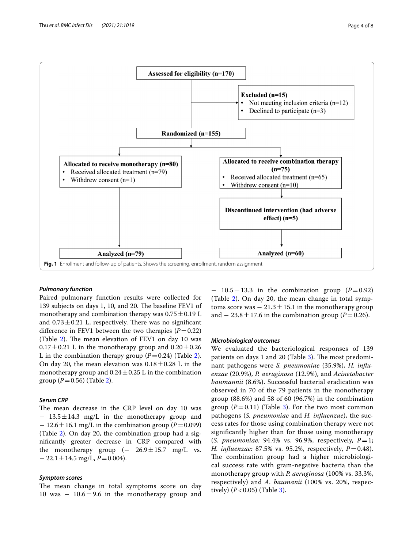

#### <span id="page-3-0"></span>*Pulmonary function*

Paired pulmonary function results were collected for 139 subjects on days 1, 10, and 20. The baseline FEV1 of monotherapy and combination therapy was  $0.75 \pm 0.19$  L and  $0.73 \pm 0.21$  L, respectively. There was no significant difference in FEV1 between the two therapies  $(P=0.22)$ (Table [2](#page-4-1)). The mean elevation of FEV1 on day 10 was  $0.17 \pm 0.21$  L in the monotherapy group and  $0.20 \pm 0.26$ L in the combination therapy group  $(P=0.24)$  $(P=0.24)$  $(P=0.24)$  (Table 2). On day 20, the mean elevation was  $0.18 \pm 0.28$  L in the monotherapy group and  $0.24 \pm 0.25$  L in the combination group ( $P = 0.56$ ) (Table [2](#page-4-1)).

# *Serum CRP*

The mean decrease in the CRP level on day 10 was − 13.5±14.3 mg/L in the monotherapy group and  $-12.6 \pm 16.1$  mg/L in the combination group ( $P=0.099$ ) (Table [2\)](#page-4-1). On day 20, the combination group had a signifcantly greater decrease in CRP compared with the monotherapy group  $(-26.9 \pm 15.7 \text{ mg/L} \text{ vs.}$  $-22.1 \pm 14.5$  mg/L,  $P = 0.004$ ).

#### *Symptom scores*

The mean change in total symptoms score on day 10 was  $-10.6 \pm 9.6$  in the monotherapy group and

− 10.5±13.3 in the combination group (*P*=0.92) (Table [2\)](#page-4-1). On day 20, the mean change in total symptoms score was  $-21.3 \pm 15.1$  in the monotherapy group and  $-23.8 \pm 17.6$  in the combination group ( $P=0.26$ ).

#### *Microbiological outcomes*

We evaluated the bacteriological responses of 139 patients on days 1 and 20 (Table  $3$ ). The most predominant pathogens were *S. pneumoniae* (35.9%), *H. infuenzae* (20.9%), *P. aeruginosa* (12.9%), and *Acinetobacter baumannii* (8.6%). Successful bacterial eradication was observed in 70 of the 79 patients in the monotherapy group (88.6%) and 58 of 60 (96.7%) in the combination group  $(P=0.11)$  (Table [3\)](#page-5-0). For the two most common pathogens (*S. pneumoniae* and *H. infuenzae*), the success rates for those using combination therapy were not signifcantly higher than for those using monotherapy (*S. pneumoniae:* 94.4% vs. 96.9%, respectively,  $P=1$ ; *H. infuenzae:* 87.5% vs. 95.2%, respectively, *P*=0.48). The combination group had a higher microbiological success rate with gram-negative bacteria than the monotherapy group with *P. aeruginosa* (100% vs. 33.3%, respectively) and *A. baumanii* (100% vs. 20%, respectively)  $(P < 0.05)$  (Table [3\)](#page-5-0).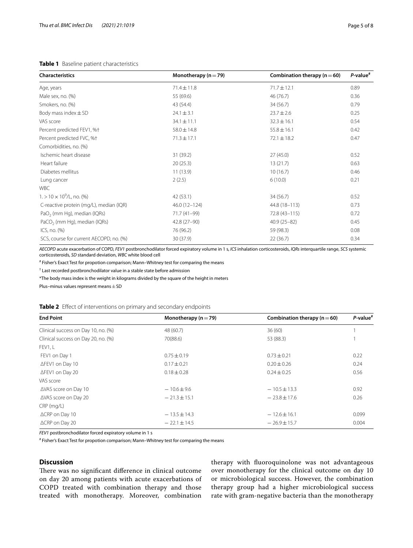# <span id="page-4-0"></span>**Table 1** Baseline patient characteristics

| <b>Characteristics</b>                   | Monotherapy ( $n = 79$ ) | Combination therapy ( $n = 60$ ) | $P$ -value <sup>#</sup> |  |
|------------------------------------------|--------------------------|----------------------------------|-------------------------|--|
| Age, years                               | $71.4 \pm 11.8$          | $71.7 \pm 12.1$                  | 0.89                    |  |
| Male sex, no. (%)                        | 55 (69.6)                | 46 (76.7)                        | 0.36                    |  |
| Smokers, no. (%)                         | 43 (54.4)                | 34 (56.7)                        | 0.79                    |  |
| Body mass index $\pm$ SD                 | $24.1 \pm 3.1$           | $23.7 \pm 2.6$                   | 0.25                    |  |
| VAS score                                | $34.1 \pm 11.1$          | $32.3 \pm 16.1$                  | 0.54                    |  |
| Percent predicted FEV1, %+               | $58.0 \pm 14.8$          | $55.8 \pm 16.1$                  | 0.42                    |  |
| Percent predicted FVC, %+                | $71.3 \pm 17.1$          | $72.1 \pm 18.2$                  | 0.47                    |  |
| Comorbidities, no. (%)                   |                          |                                  |                         |  |
| Ischemic heart disease                   | 31 (39.2)                | 27(45.0)                         | 0.52                    |  |
| Heart failure                            | 20(25.3)                 | 13(21.7)                         | 0.63                    |  |
| Diabetes mellitus                        | 11(13.9)                 | 10(16.7)                         | 0.46                    |  |
| Lung cancer                              | 2(2.5)                   | 6(10.0)                          | 0.21                    |  |
| <b>WBC</b>                               |                          |                                  |                         |  |
| $1. > 10 \times 10^9$ /L, no. (%)        | 42 (53.1)                | 34 (56.7)                        | 0.52                    |  |
| C-reactive protein (mg/L), median (IQR)  | 46.0 (12-124)            | 44.8 (18-113)                    | 0.73                    |  |
| $PaO2$ (mm Hg), median (IQRs)            | 71.7 (41-99)             | 72.8 (43-115)                    | 0.72                    |  |
| PaCO <sub>2</sub> (mm Hg), median (IQRs) | 42.8 (27-90)             | $40.9(25 - 82)$                  | 0.45                    |  |
| ICS, no. (%)                             | 76 (96.2)                | 59 (98.3)                        | 0.08                    |  |
| SCS, course for current AECOPD, no. (%)  | 30 (37.9)                | 22(36.7)                         | 0.34                    |  |

*AECOPD* acute exacerbation of COPD, *FEV1* postbronchodilator forced expiratory volume in 1 s, *ICS* inhalation corticosteroids, *IQRs* interquartile range, *SCS* systemic corticosteroids, *SD* standard deviation, *WBC* white blood cell

# Fisher's Exact Test for propotion comparison; Mann–Whitney test for comparing the means

† Last recorded postbronchodilator value in a stable state before admission

\*The body mass index is the weight in kilograms divided by the square of the height in meters

Plus–minus values represent means $\pm$ SD

<span id="page-4-1"></span>

|  |  | Table 2 Effect of interventions on primary and secondary endpoints |  |  |
|--|--|--------------------------------------------------------------------|--|--|
|  |  |                                                                    |  |  |

| <b>End Point</b>                    | Monotherapy ( $n = 79$ ) | Combination therapy ( $n = 60$ ) | $P$ -value <sup>#</sup> |  |
|-------------------------------------|--------------------------|----------------------------------|-------------------------|--|
| Clinical success on Day 10, no. (%) | 48 (60.7)                | 36(60)                           |                         |  |
| Clinical success on Day 20, no. (%) | 70(88.6)                 | 53 (88.3)                        |                         |  |
| FEV1, L                             |                          |                                  |                         |  |
| FEV1 on Day 1                       | $0.75 \pm 0.19$          | $0.73 \pm 0.21$                  | 0.22                    |  |
| ∆FEV1 on Day 10                     | $0.17 \pm 0.21$          | $0.20 \pm 0.26$                  | 0.24                    |  |
| ∆FEV1 on Day 20                     | $0.18 \pm 0.28$          | $0.24 \pm 0.25$                  | 0.56                    |  |
| VAS score                           |                          |                                  |                         |  |
| ∆VAS score on Day 10                | $-10.6 \pm 9.6$          | $-10.5 \pm 13.3$                 | 0.92                    |  |
| ∆VAS score on Day 20                | $-21.3 \pm 15.1$         | $-23.8 \pm 17.6$                 | 0.26                    |  |
| $CRP$ (mg/L)                        |                          |                                  |                         |  |
| ∆CRP on Day 10                      | $-13.5 \pm 14.3$         | $-12.6 \pm 16.1$                 | 0.099                   |  |
| ∆CRP on Day 20                      | $-22.1 \pm 14.5$         | $-26.9 \pm 15.7$                 | 0.004                   |  |

*FEV1* postbronchodilator forced expiratory volume in 1 s

# Fisher's Exact Test for propotion comparison; Mann–Whitney test for comparing the means

# **Discussion**

There was no significant difference in clinical outcome on day 20 among patients with acute exacerbations of COPD treated with combination therapy and those treated with monotherapy. Moreover, combination

therapy with fuoroquinolone was not advantageous over monotherapy for the clinical outcome on day 10 or microbiological success. However, the combination therapy group had a higher microbiological success rate with gram-negative bacteria than the monotherapy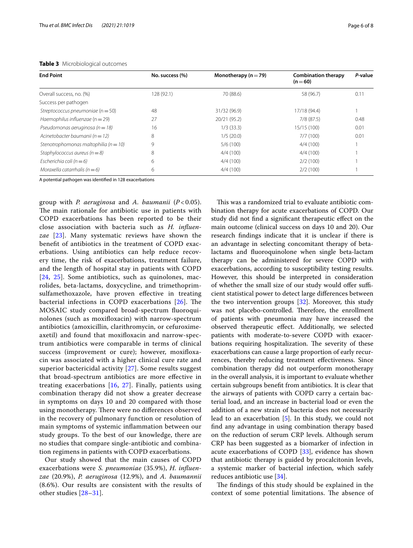| <b>End Point</b>                          | No. success (%) | Monotherapy ( $n = 79$ ) | <b>Combination therapy</b><br>$(n=60)$ | P-value |
|-------------------------------------------|-----------------|--------------------------|----------------------------------------|---------|
| Overall success, no. (%)                  | 128 (92.1)      | 70 (88.6)                | 58 (96.7)                              | 0.11    |
| Success per pathogen                      |                 |                          |                                        |         |
| Streptococcus pneumoniae ( $n = 50$ )     | 48              | 31/32 (96.9)             | 17/18 (94.4)                           |         |
| Haemophilus influenzae ( $n = 29$ )       | 27              | 20/21 (95.2)             | 7/8(87.5)                              | 0.48    |
| Pseudomonas aeruginosa ( $n = 18$ )       | 16              | $1/3$ (33.3)             | 15/15 (100)                            | 0.01    |
| Acinetobacter baumanii ( $n = 12$ )       | 8               | 1/5(20.0)                | 7/7(100)                               | 0.01    |
| Stenotrophomonas maltophilia ( $n = 10$ ) | 9               | 5/6(100)                 | 4/4(100)                               |         |
| Staphylococcus aureus ( $n = 8$ )         | 8               | 4/4(100)                 | 4/4(100)                               |         |
| Escherichia coli ( $n = 6$ )              | 6               | 4/4(100)                 | 2/2(100)                               |         |
| Moraxella catarrhalis ( $n = 6$ )         | 6               | 4/4(100)                 | 2/2(100)                               |         |

### <span id="page-5-0"></span>**Table 3** Microbiological outcomes

A potential pathogen was identifed in 128 exacerbations

group with *P. aeruginosa* and *A. baumanii* (*P* < 0.05). The main rationale for antibiotic use in patients with COPD exacerbations has been reported to be their close association with bacteria such as *H. infuenzae* [[23](#page-7-2)]. Many systematic reviews have shown the beneft of antibiotics in the treatment of COPD exacerbations. Using antibiotics can help reduce recovery time, the risk of exacerbations, treatment failure, and the length of hospital stay in patients with COPD [[24](#page-7-3), [25](#page-7-4)]. Some antibiotics, such as quinolones, macrolides, beta-lactams, doxycycline, and trimethoprimsulfamethoxazole, have proven efective in treating bacterial infections in COPD exacerbations  $[26]$  $[26]$ . The MOSAIC study compared broad-spectrum fuoroquinolones (such as moxifoxacin) with narrow-spectrum antibiotics (amoxicillin, clarithromycin, or cefuroximeaxetil) and found that moxifoxacin and narrow-spectrum antibiotics were comparable in terms of clinical success (improvement or cure); however, moxifoxacin was associated with a higher clinical cure rate and superior bactericidal activity [[27](#page-7-6)]. Some results suggest that broad-spectrum antibiotics are more efective in treating exacerbations [\[16](#page-6-13), [27](#page-7-6)]. Finally, patients using combination therapy did not show a greater decrease in symptoms on days 10 and 20 compared with those using monotherapy. There were no differences observed in the recovery of pulmonary function or resolution of main symptoms of systemic infammation between our study groups. To the best of our knowledge, there are no studies that compare single-antibiotic and combination regimens in patients with COPD exacerbations.

Our study showed that the main causes of COPD exacerbations were *S. pneumoniae* (35.9%), *H. infuenzae* (20.9%), *P. aeruginosa* (12.9%), and *A. baumannii* (8.6%). Our results are consistent with the results of other studies [[28](#page-7-7)[–31](#page-7-8)].

This was a randomized trial to evaluate antibiotic combination therapy for acute exacerbations of COPD. Our study did not fnd a signifcant therapeutic efect on the main outcome (clinical success on days 10 and 20). Our research fndings indicate that it is unclear if there is an advantage in selecting concomitant therapy of betalactams and fuoroquinolone when single beta-lactam therapy can be administered for severe COPD with exacerbations, according to susceptibility testing results. However, this should be interpreted in consideration of whether the small size of our study would offer sufficient statistical power to detect large diferences between the two intervention groups [[32\]](#page-7-9). Moreover, this study was not placebo-controlled. Therefore, the enrollment of patients with pneumonia may have increased the observed therapeutic efect. Additionally, we selected patients with moderate-to-severe COPD with exacerbations requiring hospitalization. The severity of these exacerbations can cause a large proportion of early recurrences, thereby reducing treatment efectiveness. Since combination therapy did not outperform monotherapy in the overall analysis, it is important to evaluate whether certain subgroups beneft from antibiotics. It is clear that the airways of patients with COPD carry a certain bacterial load, and an increase in bacterial load or even the addition of a new strain of bacteria does not necessarily lead to an exacerbation [\[5](#page-6-3)]. In this study, we could not fnd any advantage in using combination therapy based on the reduction of serum CRP levels. Although serum CRP has been suggested as a biomarker of infection in acute exacerbations of COPD [[33\]](#page-7-10), evidence has shown that antibiotic therapy is guided by procalcitonin levels, a systemic marker of bacterial infection, which safely reduces antibiotic use [\[34\]](#page-7-11).

The findings of this study should be explained in the context of some potential limitations. The absence of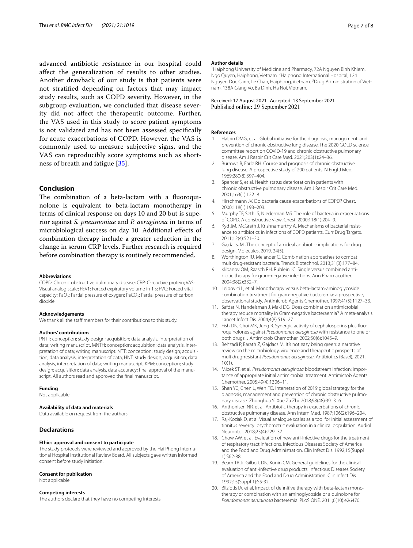advanced antibiotic resistance in our hospital could afect the generalization of results to other studies. Another drawback of our study is that patients were not stratifed depending on factors that may impact study results, such as COPD severity. However, in the subgroup evaluation, we concluded that disease severity did not afect the therapeutic outcome. Further, the VAS used in this study to score patient symptoms is not validated and has not been assessed specifcally for acute exacerbations of COPD. However, the VAS is commonly used to measure subjective signs, and the VAS can reproducibly score symptoms such as shortness of breath and fatigue [\[35](#page-7-12)].

# **Conclusion**

The combination of a beta-lactam with a fluoroquinolone is equivalent to beta-lactam monotherapy in terms of clinical response on days 10 and 20 but is superior against *S. pneumoniae* and *P. aeruginosa* in terms of microbiological success on day 10. Additional efects of combination therapy include a greater reduction in the change in serum CRP levels. Further research is required before combination therapy is routinely recommended.

#### **Abbreviations**

COPD: Chronic obstructive pulmonary disease; CRP: C-reactive protein; VAS: Visual analog scale; FEV1: Forced expiratory volume in 1 s; FVC: Forced vital capacity; PaO<sub>2</sub>: Partial pressure of oxygen; PaCO<sub>2</sub>: Partial pressure of carbon dioxide.

#### **Acknowledgements**

We thank all the staff members for their contributions to this study.

#### **Authors' contributions**

PNTT: conception; study design; acquisition; data analysis, interpretation of data; writing manuscript. MNTH: conception; acquisition; data analysis, interpretation of data; writing manuscript. NTT: conception; study design; acquisition; data analysis, interpretation of data; HNT: study design; acquisition; data analysis, interpretation of data; writing manuscript. KPM: conception; study design; acquisition; data analysis, data accuracy; fnal approval of the manuscript. All authors read and approved the fnal manuscript.

#### **Funding**

Not applicable.

### **Availability of data and materials**

Data available on request from the authors.

# **Declarations**

#### **Ethics approval and consent to participate**

The study protocols were reviewed and approved by the Hai Phong International Hospital Institutional Review Board. All subjects gave written informed consent before study initiation.

#### **Consent for publication**

Not applicable.

#### **Competing interests**

The authors declare that they have no competing interests.

#### **Author details**

<sup>1</sup> Haiphong University of Medicine and Pharmacy, 72A Nguyen Binh Khiem, Ngo Quyen, Haiphong, Vietnam. <sup>2</sup> Haiphong International Hospital, 124 Nguyen Duc Canh, Le Chan, Haiphong, Vietnam. <sup>3</sup> Drug Administration of Vietnam, 138A Giang Vo, Ba Dinh, Ha Noi, Vietnam.

#### Received: 17 August 2021 Accepted: 13 September 2021 Published online: 29 September 2021

#### **References**

- <span id="page-6-0"></span>1. Halpin DMG, et al. Global initiative for the diagnosis, management, and prevention of chronic obstructive lung disease. The 2020 GOLD science committee report on COVID-19 and chronic obstructive pulmonary disease. Am J Respir Crit Care Med. 2021;203(1):24–36.
- 2. Burrows B, Earle RH. Course and prognosis of chronic obstructive lung disease. A prospective study of 200 patients. N Engl J Med. 1969;280(8):397–404.
- <span id="page-6-1"></span>3. Spencer S, et al. Health status deterioration in patients with chronic obstructive pulmonary disease. Am J Respir Crit Care Med. 2001;163(1):122–8.
- <span id="page-6-2"></span>Hirschmann JV. Do bacteria cause exacerbations of COPD? Chest. 2000;118(1):193–203.
- <span id="page-6-3"></span>5. Murphy TF, Sethi S, Niederman MS. The role of bacteria in exacerbations of COPD. A constructive view. Chest. 2000;118(1):204–9.
- <span id="page-6-4"></span>6. Kyd JM, McGrath J, Krishnamurthy A. Mechanisms of bacterial resistance to antibiotics in infections of COPD patients. Curr Drug Targets. 2011;12(4):521–30.
- <span id="page-6-5"></span>7. Gajdacs, M., The concept of an ideal antibiotic: implications for drug design. Molecules, 2019. 24(5).
- <span id="page-6-6"></span>8. Worthington RJ, Melander C. Combination approaches to combat multidrug-resistant bacteria. Trends Biotechnol. 2013;31(3):177–84.
- <span id="page-6-7"></span>9. Klibanov OM, Raasch RH, Rublein JC. Single versus combined antibiotic therapy for gram-negative infections. Ann Pharmacother. 2004;38(2):332–7.
- 10. Leibovici L, et al. Monotherapy versus beta-lactam-aminoglycoside combination treatment for gram-negative bacteremia: a prospective, observational study. Antimicrob Agents Chemother. 1997;41(5):1127–33.
- <span id="page-6-8"></span>11. Safdar N, Handelsman J, Maki DG. Does combination antimicrobial therapy reduce mortality in Gram-negative bacteraemia? A meta-analysis. Lancet Infect Dis. 2004;4(8):519–27.
- <span id="page-6-9"></span>12. Fish DN, Choi MK, Jung R. Synergic activity of cephalosporins plus fuoroquinolones against *Pseudomonas aeruginosa* with resistance to one or both drugs. J Antimicrob Chemother. 2002;50(6):1045–9.
- <span id="page-6-10"></span>13. Behzadi P, Barath Z, Gajdacs M. It's not easy being green: a narrative review on the microbiology, virulence and therapeutic prospects of multidrug-resistant *Pseudomonas aeruginosa*. Antibiotics (Basel), 2021.  $10(1)$
- <span id="page-6-11"></span>14. Micek ST, et al. *Pseudomonas aeruginosa* bloodstream infection: importance of appropriate initial antimicrobial treatment. Antimicrob Agents Chemother. 2005;49(4):1306–11.
- <span id="page-6-12"></span>15. Shen YC, Chen L, Wen FQ. Interretation of 2019 global strategy for the diagnosis, management and prevention of chronic obstructive pulmonary disease. Zhonghua Yi Xue Za Zhi. 2018;98(48):3913–6.
- <span id="page-6-13"></span>16. Anthonisen NR, et al. Antibiotic therapy in exacerbations of chronic obstructive pulmonary disease. Ann Intern Med. 1987;106(2):196–204.
- <span id="page-6-14"></span>17. Raj-Koziak D, et al. Visual analogue scales as a tool for initial assessment of tinnitus severity: psychometric evaluation in a clinical population. Audiol Neurootol. 2018;23(4):229–37.
- <span id="page-6-15"></span>18. Chow AW, et al. Evaluation of new anti-infective drugs for the treatment of respiratory tract infections. Infectious Diseases Society of America and the Food and Drug Administration. Clin Infect Dis. 1992;15(Suppl 1):S62-88.
- <span id="page-6-16"></span>19. Beam TR Jr, Gilbert DN, Kunin CM. General guidelines for the clinical evaluation of anti-infective drug products. Infectious Diseases Society of America and the Food and Drug Administration. Clin Infect Dis. 1992;15(Suppl 1):S5-32.
- <span id="page-6-17"></span>20. Bliziotis IA, et al. Impact of defnitive therapy with beta-lactam monotherapy or combination with an aminoglycoside or a quinolone for *Pseudomonas aeruginosa* bacteremia. PLoS ONE. 2011;6(10):e26470.